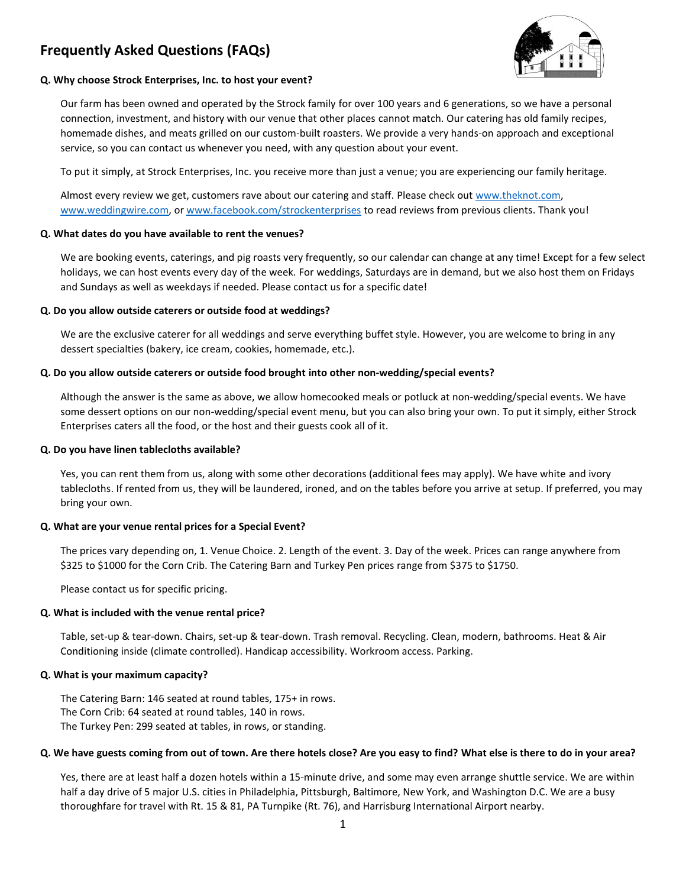# **Frequently Asked Questions (FAQs)**



# **Q. Why choose Strock Enterprises, Inc. to host your event?**

Our farm has been owned and operated by the Strock family for over 100 years and 6 generations, so we have a personal connection, investment, and history with our venue that other places cannot match. Our catering has old family recipes, homemade dishes, and meats grilled on our custom-built roasters. We provide a very hands-on approach and exceptional service, so you can contact us whenever you need, with any question about your event.

To put it simply, at Strock Enterprises, Inc. you receive more than just a venue; you are experiencing our family heritage.

Almost every review we get, customers rave about our catering and staff. Please check out [www.theknot.com,](http://www.theknot.com/) [www.weddingwire.com,](http://www.weddingwire.com/) o[r www.facebook.com/strockenterprises](http://www.facebook.com/strockenterprises) to read reviews from previous clients. Thank you!

# **Q. What dates do you have available to rent the venues?**

We are booking events, caterings, and pig roasts very frequently, so our calendar can change at any time! Except for a few select holidays, we can host events every day of the week. For weddings, Saturdays are in demand, but we also host them on Fridays and Sundays as well as weekdays if needed. Please contact us for a specific date!

# **Q. Do you allow outside caterers or outside food at weddings?**

We are the exclusive caterer for all weddings and serve everything buffet style. However, you are welcome to bring in any dessert specialties (bakery, ice cream, cookies, homemade, etc.).

# **Q. Do you allow outside caterers or outside food brought into other non-wedding/special events?**

Although the answer is the same as above, we allow homecooked meals or potluck at non-wedding/special events. We have some dessert options on our non-wedding/special event menu, but you can also bring your own. To put it simply, either Strock Enterprises caters all the food, or the host and their guests cook all of it.

#### **Q. Do you have linen tablecloths available?**

Yes, you can rent them from us, along with some other decorations (additional fees may apply). We have white and ivory tablecloths. If rented from us, they will be laundered, ironed, and on the tables before you arrive at setup. If preferred, you may bring your own.

#### **Q. What are your venue rental prices for a Special Event?**

The prices vary depending on, 1. Venue Choice. 2. Length of the event. 3. Day of the week. Prices can range anywhere from \$325 to \$1000 for the Corn Crib. The Catering Barn and Turkey Pen prices range from \$375 to \$1750.

Please contact us for specific pricing.

# **Q. What is included with the venue rental price?**

Table, set-up & tear-down. Chairs, set-up & tear-down. Trash removal. Recycling. Clean, modern, bathrooms. Heat & Air Conditioning inside (climate controlled). Handicap accessibility. Workroom access. Parking.

#### **Q. What is your maximum capacity?**

The Catering Barn: 146 seated at round tables, 175+ in rows. The Corn Crib: 64 seated at round tables, 140 in rows. The Turkey Pen: 299 seated at tables, in rows, or standing.

#### **Q. We have guests coming from out of town. Are there hotels close? Are you easy to find? What else is there to do in your area?**

Yes, there are at least half a dozen hotels within a 15-minute drive, and some may even arrange shuttle service. We are within half a day drive of 5 major U.S. cities in Philadelphia, Pittsburgh, Baltimore, New York, and Washington D.C. We are a busy thoroughfare for travel with Rt. 15 & 81, PA Turnpike (Rt. 76), and Harrisburg International Airport nearby.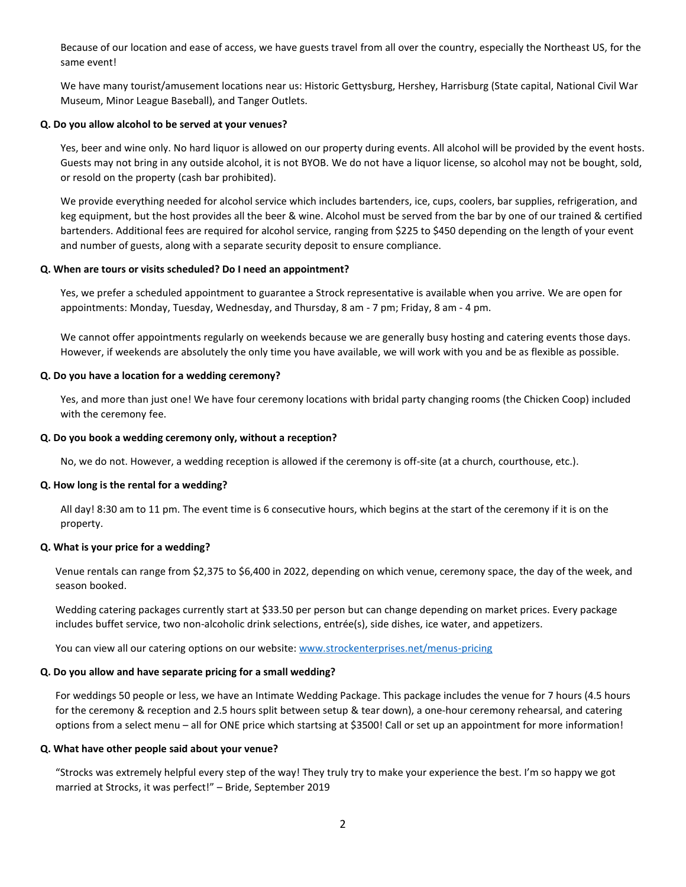Because of our location and ease of access, we have guests travel from all over the country, especially the Northeast US, for the same event!

We have many tourist/amusement locations near us: Historic Gettysburg, Hershey, Harrisburg (State capital, National Civil War Museum, Minor League Baseball), and Tanger Outlets.

#### **Q. Do you allow alcohol to be served at your venues?**

Yes, beer and wine only. No hard liquor is allowed on our property during events. All alcohol will be provided by the event hosts. Guests may not bring in any outside alcohol, it is not BYOB. We do not have a liquor license, so alcohol may not be bought, sold, or resold on the property (cash bar prohibited).

We provide everything needed for alcohol service which includes bartenders, ice, cups, coolers, bar supplies, refrigeration, and keg equipment, but the host provides all the beer & wine. Alcohol must be served from the bar by one of our trained & certified bartenders. Additional fees are required for alcohol service, ranging from \$225 to \$450 depending on the length of your event and number of guests, along with a separate security deposit to ensure compliance.

# **Q. When are tours or visits scheduled? Do I need an appointment?**

Yes, we prefer a scheduled appointment to guarantee a Strock representative is available when you arrive. We are open for appointments: Monday, Tuesday, Wednesday, and Thursday, 8 am - 7 pm; Friday, 8 am - 4 pm.

We cannot offer appointments regularly on weekends because we are generally busy hosting and catering events those days. However, if weekends are absolutely the only time you have available, we will work with you and be as flexible as possible.

# **Q. Do you have a location for a wedding ceremony?**

Yes, and more than just one! We have four ceremony locations with bridal party changing rooms (the Chicken Coop) included with the ceremony fee.

#### **Q. Do you book a wedding ceremony only, without a reception?**

No, we do not. However, a wedding reception is allowed if the ceremony is off-site (at a church, courthouse, etc.).

#### **Q. How long is the rental for a wedding?**

All day! 8:30 am to 11 pm. The event time is 6 consecutive hours, which begins at the start of the ceremony if it is on the property.

# **Q. What is your price for a wedding?**

Venue rentals can range from \$2,375 to \$6,400 in 2022, depending on which venue, ceremony space, the day of the week, and season booked.

Wedding catering packages currently start at \$33.50 per person but can change depending on market prices. Every package includes buffet service, two non-alcoholic drink selections, entrée(s), side dishes, ice water, and appetizers.

You can view all our catering options on our website: [www.strockenterprises.net/menus-pricing](http://www.strockenterprises.net/menus-pricing)

# **Q. Do you allow and have separate pricing for a small wedding?**

For weddings 50 people or less, we have an Intimate Wedding Package. This package includes the venue for 7 hours (4.5 hours for the ceremony & reception and 2.5 hours split between setup & tear down), a one-hour ceremony rehearsal, and catering options from a select menu – all for ONE price which startsing at \$3500! Call or set up an appointment for more information!

#### **Q. What have other people said about your venue?**

"Strocks was extremely helpful every step of the way! They truly try to make your experience the best. I'm so happy we got married at Strocks, it was perfect!" – Bride, September 2019